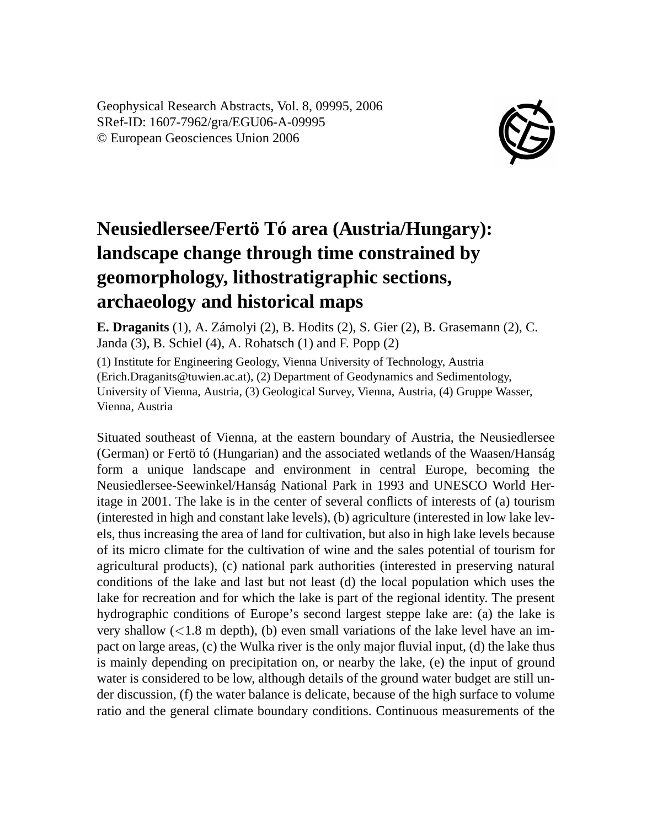Geophysical Research Abstracts, Vol. 8, 09995, 2006 SRef-ID: 1607-7962/gra/EGU06-A-09995 © European Geosciences Union 2006



## **Neusiedlersee/Fertö Tó area (Austria/Hungary): landscape change through time constrained by geomorphology, lithostratigraphic sections, archaeology and historical maps**

**E. Draganits** (1), A. Zámolyi (2), B. Hodits (2), S. Gier (2), B. Grasemann (2), C. Janda (3), B. Schiel (4), A. Rohatsch (1) and F. Popp (2)

(1) Institute for Engineering Geology, Vienna University of Technology, Austria (Erich.Draganits@tuwien.ac.at), (2) Department of Geodynamics and Sedimentology, University of Vienna, Austria, (3) Geological Survey, Vienna, Austria, (4) Gruppe Wasser, Vienna, Austria

Situated southeast of Vienna, at the eastern boundary of Austria, the Neusiedlersee (German) or Fertö tó (Hungarian) and the associated wetlands of the Waasen/Hanság form a unique landscape and environment in central Europe, becoming the Neusiedlersee-Seewinkel/Hanság National Park in 1993 and UNESCO World Heritage in 2001. The lake is in the center of several conflicts of interests of (a) tourism (interested in high and constant lake levels), (b) agriculture (interested in low lake levels, thus increasing the area of land for cultivation, but also in high lake levels because of its micro climate for the cultivation of wine and the sales potential of tourism for agricultural products), (c) national park authorities (interested in preserving natural conditions of the lake and last but not least (d) the local population which uses the lake for recreation and for which the lake is part of the regional identity. The present hydrographic conditions of Europe's second largest steppe lake are: (a) the lake is very shallow  $\left($ <1.8 m depth), (b) even small variations of the lake level have an impact on large areas, (c) the Wulka river is the only major fluvial input, (d) the lake thus is mainly depending on precipitation on, or nearby the lake, (e) the input of ground water is considered to be low, although details of the ground water budget are still under discussion, (f) the water balance is delicate, because of the high surface to volume ratio and the general climate boundary conditions. Continuous measurements of the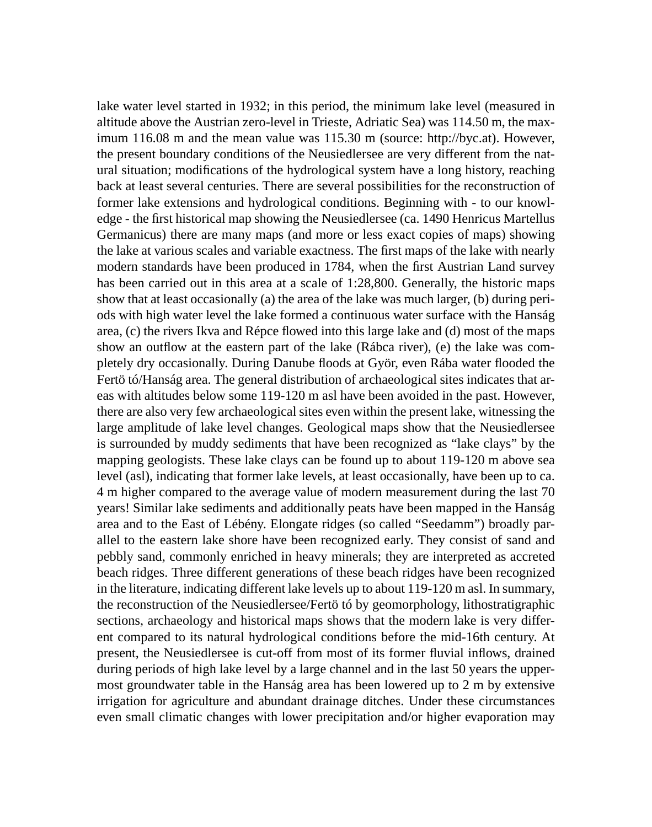lake water level started in 1932; in this period, the minimum lake level (measured in altitude above the Austrian zero-level in Trieste, Adriatic Sea) was 114.50 m, the maximum 116.08 m and the mean value was 115.30 m (source: http://byc.at). However, the present boundary conditions of the Neusiedlersee are very different from the natural situation; modifications of the hydrological system have a long history, reaching back at least several centuries. There are several possibilities for the reconstruction of former lake extensions and hydrological conditions. Beginning with - to our knowledge - the first historical map showing the Neusiedlersee (ca. 1490 Henricus Martellus Germanicus) there are many maps (and more or less exact copies of maps) showing the lake at various scales and variable exactness. The first maps of the lake with nearly modern standards have been produced in 1784, when the first Austrian Land survey has been carried out in this area at a scale of 1:28,800. Generally, the historic maps show that at least occasionally (a) the area of the lake was much larger, (b) during periods with high water level the lake formed a continuous water surface with the Hanság area, (c) the rivers Ikva and Répce flowed into this large lake and (d) most of the maps show an outflow at the eastern part of the lake (Rábca river), (e) the lake was completely dry occasionally. During Danube floods at Györ, even Rába water flooded the Fertö tó/Hanság area. The general distribution of archaeological sites indicates that areas with altitudes below some 119-120 m asl have been avoided in the past. However, there are also very few archaeological sites even within the present lake, witnessing the large amplitude of lake level changes. Geological maps show that the Neusiedlersee is surrounded by muddy sediments that have been recognized as "lake clays" by the mapping geologists. These lake clays can be found up to about 119-120 m above sea level (asl), indicating that former lake levels, at least occasionally, have been up to ca. 4 m higher compared to the average value of modern measurement during the last 70 years! Similar lake sediments and additionally peats have been mapped in the Hanság area and to the East of Lébény. Elongate ridges (so called "Seedamm") broadly parallel to the eastern lake shore have been recognized early. They consist of sand and pebbly sand, commonly enriched in heavy minerals; they are interpreted as accreted beach ridges. Three different generations of these beach ridges have been recognized in the literature, indicating different lake levels up to about 119-120 m asl. In summary, the reconstruction of the Neusiedlersee/Fertö tó by geomorphology, lithostratigraphic sections, archaeology and historical maps shows that the modern lake is very different compared to its natural hydrological conditions before the mid-16th century. At present, the Neusiedlersee is cut-off from most of its former fluvial inflows, drained during periods of high lake level by a large channel and in the last 50 years the uppermost groundwater table in the Hanság area has been lowered up to 2 m by extensive irrigation for agriculture and abundant drainage ditches. Under these circumstances even small climatic changes with lower precipitation and/or higher evaporation may